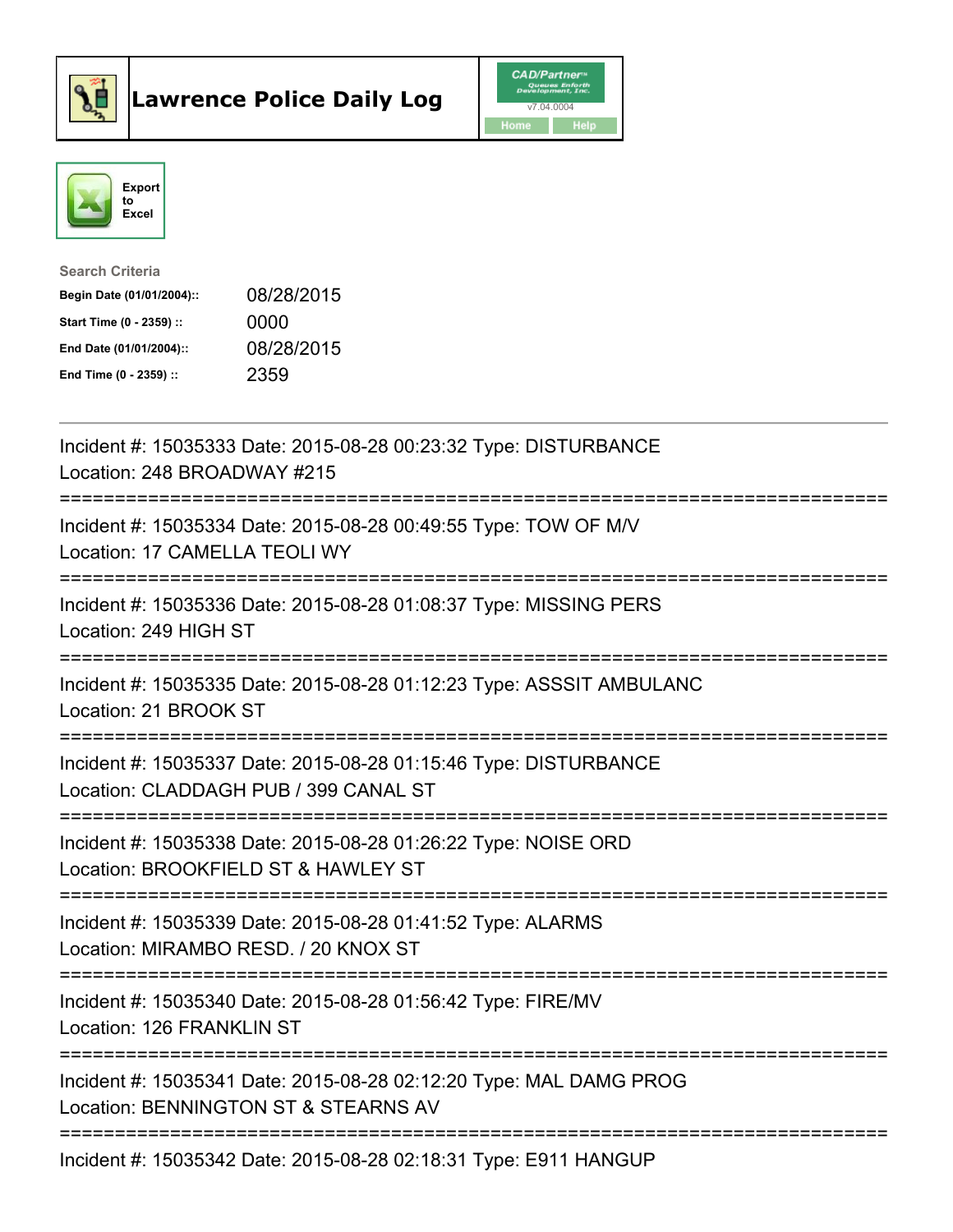



| <b>Search Criteria</b>    |            |
|---------------------------|------------|
| Begin Date (01/01/2004):: | 08/28/2015 |
| Start Time (0 - 2359) ::  | 0000       |
| End Date (01/01/2004)::   | 08/28/2015 |
| End Time $(0 - 2359)$ :   | 2359       |

| Incident #: 15035333 Date: 2015-08-28 00:23:32 Type: DISTURBANCE<br>Location: 248 BROADWAY #215            |
|------------------------------------------------------------------------------------------------------------|
| Incident #: 15035334 Date: 2015-08-28 00:49:55 Type: TOW OF M/V<br>Location: 17 CAMELLA TEOLI WY           |
| Incident #: 15035336 Date: 2015-08-28 01:08:37 Type: MISSING PERS<br>Location: 249 HIGH ST                 |
| Incident #: 15035335 Date: 2015-08-28 01:12:23 Type: ASSSIT AMBULANC<br>Location: 21 BROOK ST              |
| Incident #: 15035337 Date: 2015-08-28 01:15:46 Type: DISTURBANCE<br>Location: CLADDAGH PUB / 399 CANAL ST  |
| Incident #: 15035338 Date: 2015-08-28 01:26:22 Type: NOISE ORD<br>Location: BROOKFIELD ST & HAWLEY ST      |
| Incident #: 15035339 Date: 2015-08-28 01:41:52 Type: ALARMS<br>Location: MIRAMBO RESD. / 20 KNOX ST        |
| Incident #: 15035340 Date: 2015-08-28 01:56:42 Type: FIRE/MV<br>Location: 126 FRANKLIN ST                  |
| Incident #: 15035341 Date: 2015-08-28 02:12:20 Type: MAL DAMG PROG<br>Location: BENNINGTON ST & STEARNS AV |
| Incident #: 15035342 Date: 2015-08-28 02:18:31 Type: E911 HANGUP                                           |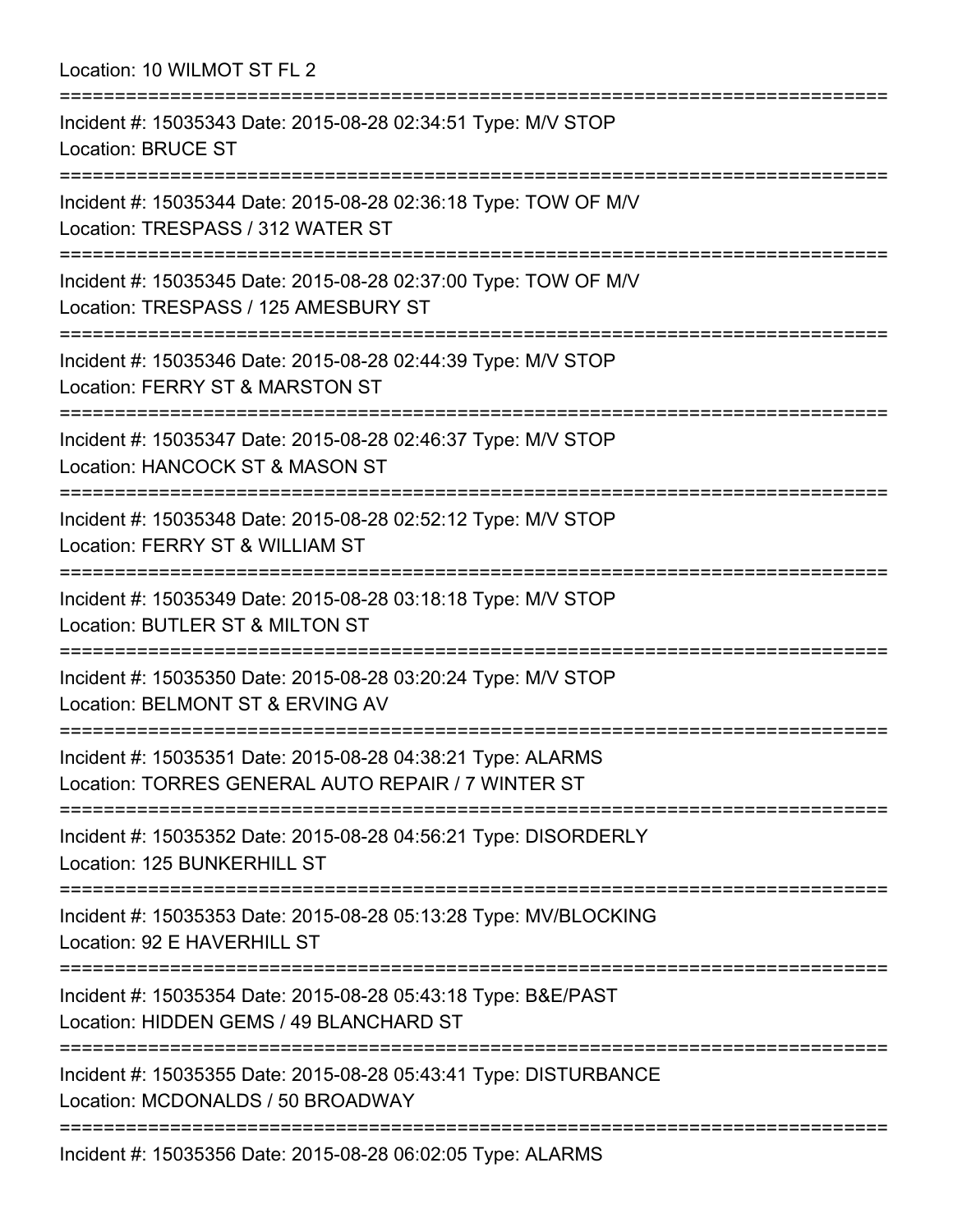Location: 10 WILMOT ST FL 2 =========================================================================== Incident #: 15035343 Date: 2015-08-28 02:34:51 Type: M/V STOP Location: BRUCE ST =========================================================================== Incident #: 15035344 Date: 2015-08-28 02:36:18 Type: TOW OF M/V Location: TRESPASS / 312 WATER ST =========================================================================== Incident #: 15035345 Date: 2015-08-28 02:37:00 Type: TOW OF M/V Location: TRESPASS / 125 AMESBURY ST =========================================================================== Incident #: 15035346 Date: 2015-08-28 02:44:39 Type: M/V STOP Location: FERRY ST & MARSTON ST =========================================================================== Incident #: 15035347 Date: 2015-08-28 02:46:37 Type: M/V STOP Location: HANCOCK ST & MASON ST =========================================================================== Incident #: 15035348 Date: 2015-08-28 02:52:12 Type: M/V STOP Location: FERRY ST & WILLIAM ST =========================================================================== Incident #: 15035349 Date: 2015-08-28 03:18:18 Type: M/V STOP Location: BUTLER ST & MILTON ST =========================================================================== Incident #: 15035350 Date: 2015-08-28 03:20:24 Type: M/V STOP Location: BELMONT ST & ERVING AV =========================================================================== Incident #: 15035351 Date: 2015-08-28 04:38:21 Type: ALARMS Location: TORRES GENERAL AUTO REPAIR / 7 WINTER ST =========================================================================== Incident #: 15035352 Date: 2015-08-28 04:56:21 Type: DISORDERLY Location: 125 BUNKERHILL ST =========================================================================== Incident #: 15035353 Date: 2015-08-28 05:13:28 Type: MV/BLOCKING Location: 92 E HAVERHILL ST =========================================================================== Incident #: 15035354 Date: 2015-08-28 05:43:18 Type: B&E/PAST Location: HIDDEN GEMS / 49 BLANCHARD ST =========================================================================== Incident #: 15035355 Date: 2015-08-28 05:43:41 Type: DISTURBANCE Location: MCDONALDS / 50 BROADWAY ===========================================================================

Incident #: 15035356 Date: 2015-08-28 06:02:05 Type: ALARMS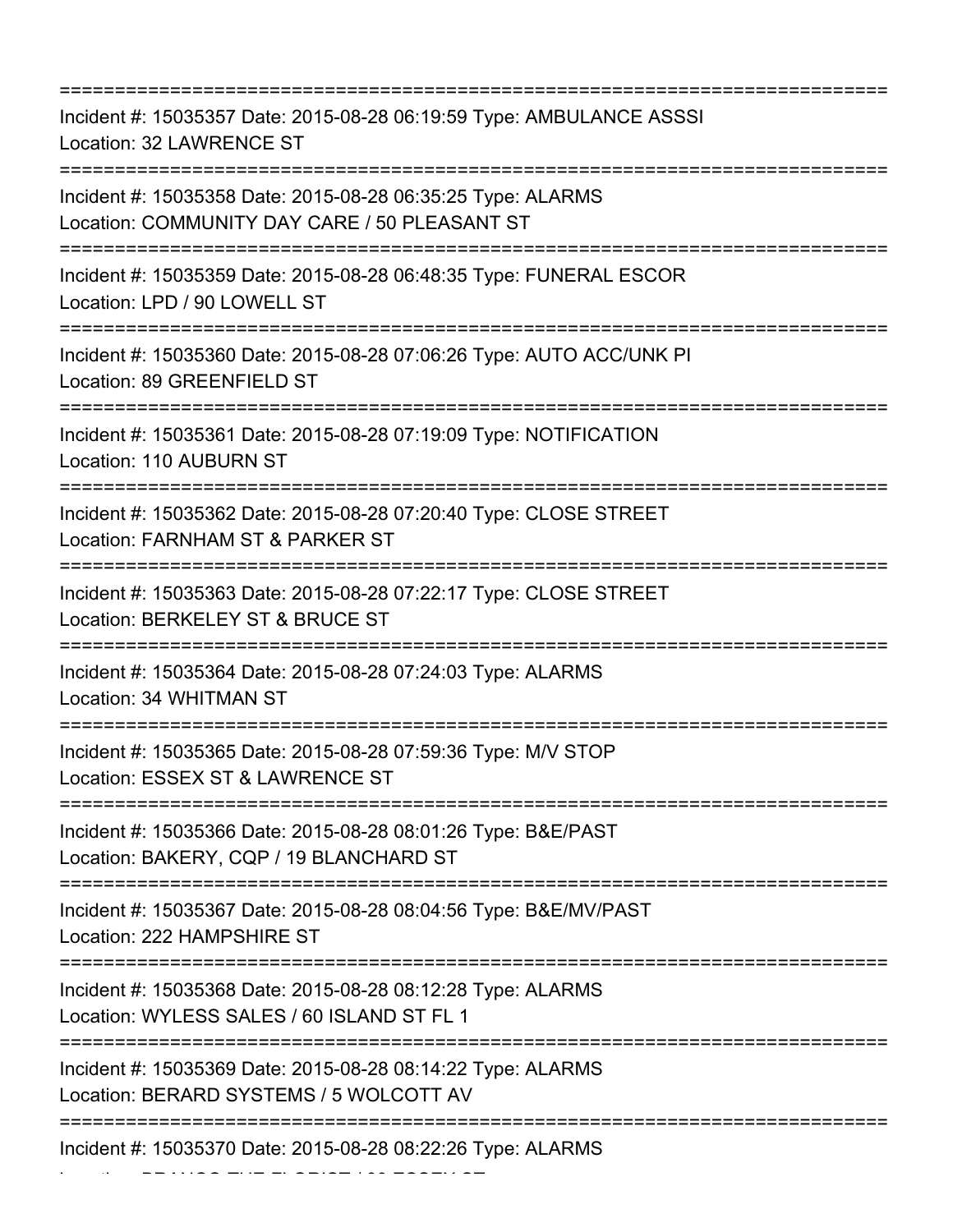=========================================================================== Incident #: 15035357 Date: 2015-08-28 06:19:59 Type: AMBULANCE ASSSI Location: 32 LAWRENCE ST =========================================================================== Incident #: 15035358 Date: 2015-08-28 06:35:25 Type: ALARMS Location: COMMUNITY DAY CARE / 50 PLEASANT ST =========================================================================== Incident #: 15035359 Date: 2015-08-28 06:48:35 Type: FUNERAL ESCOR Location: LPD / 90 LOWELL ST =========================================================================== Incident #: 15035360 Date: 2015-08-28 07:06:26 Type: AUTO ACC/UNK PI Location: 89 GREENFIELD ST =========================================================================== Incident #: 15035361 Date: 2015-08-28 07:19:09 Type: NOTIFICATION Location: 110 AUBURN ST =========================================================================== Incident #: 15035362 Date: 2015-08-28 07:20:40 Type: CLOSE STREET Location: FARNHAM ST & PARKER ST =========================================================================== Incident #: 15035363 Date: 2015-08-28 07:22:17 Type: CLOSE STREET Location: BERKELEY ST & BRUCE ST =========================================================================== Incident #: 15035364 Date: 2015-08-28 07:24:03 Type: ALARMS Location: 34 WHITMAN ST =========================================================================== Incident #: 15035365 Date: 2015-08-28 07:59:36 Type: M/V STOP Location: ESSEX ST & LAWRENCE ST =========================================================================== Incident #: 15035366 Date: 2015-08-28 08:01:26 Type: B&E/PAST Location: BAKERY, CQP / 19 BLANCHARD ST =========================================================================== Incident #: 15035367 Date: 2015-08-28 08:04:56 Type: B&E/MV/PAST Location: 222 HAMPSHIRE ST =========================================================================== Incident #: 15035368 Date: 2015-08-28 08:12:28 Type: ALARMS Location: WYLESS SALES / 60 ISLAND ST FL 1 =========================================================================== Incident #: 15035369 Date: 2015-08-28 08:14:22 Type: ALARMS Location: BERARD SYSTEMS / 5 WOLCOTT AV =========================================================================== Incident #: 15035370 Date: 2015-08-28 08:22:26 Type: ALARMS

Location: BRANCO THE FLORIST / 89 ESSEX ST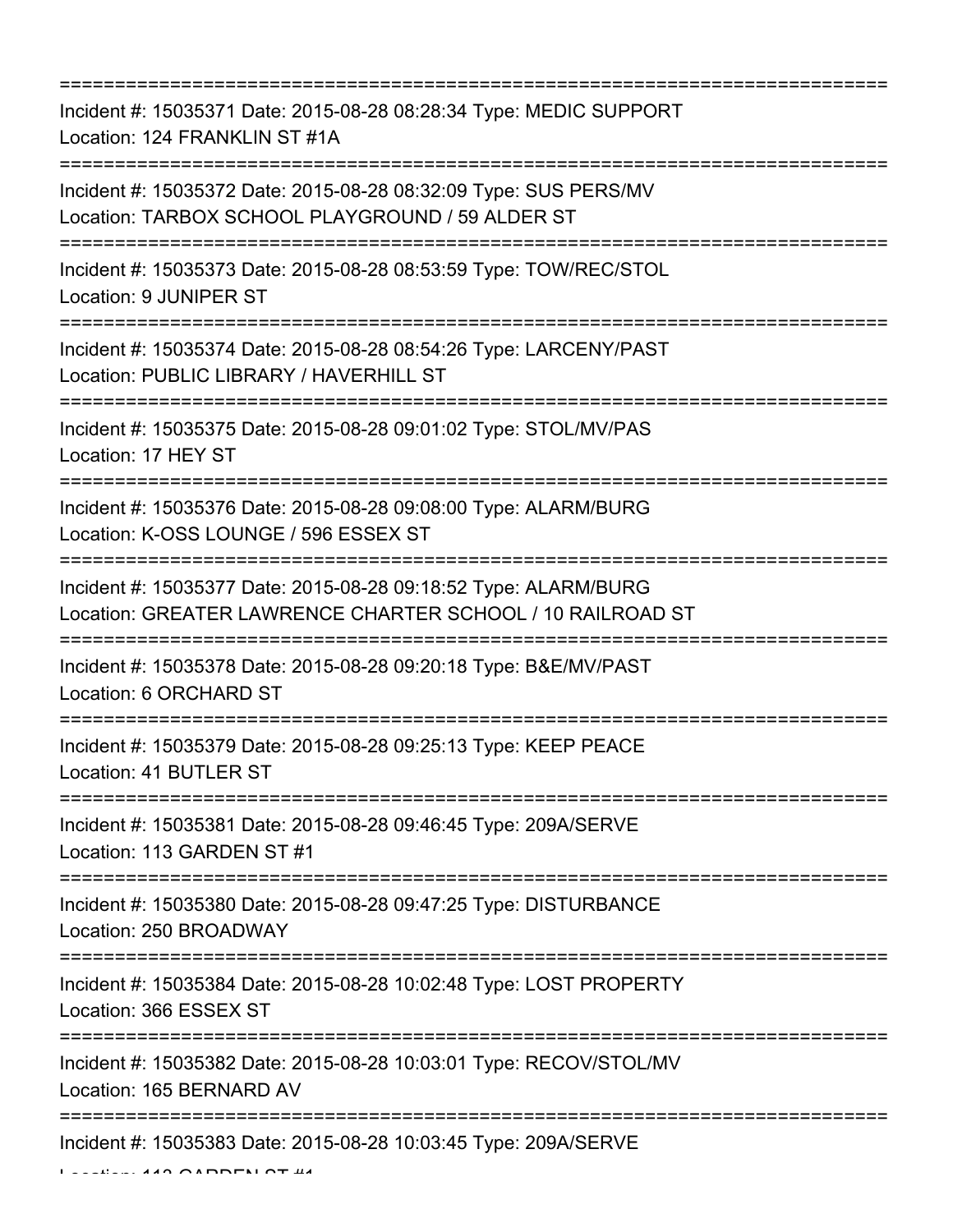=========================================================================== Incident #: 15035371 Date: 2015-08-28 08:28:34 Type: MEDIC SUPPORT Location: 124 FRANKLIN ST #1A =========================================================================== Incident #: 15035372 Date: 2015-08-28 08:32:09 Type: SUS PERS/MV Location: TARBOX SCHOOL PLAYGROUND / 59 ALDER ST =========================================================================== Incident #: 15035373 Date: 2015-08-28 08:53:59 Type: TOW/REC/STOL Location: 9 JUNIPER ST =========================================================================== Incident #: 15035374 Date: 2015-08-28 08:54:26 Type: LARCENY/PAST Location: PUBLIC LIBRARY / HAVERHILL ST =========================================================================== Incident #: 15035375 Date: 2015-08-28 09:01:02 Type: STOL/MV/PAS Location: 17 HEY ST =========================================================================== Incident #: 15035376 Date: 2015-08-28 09:08:00 Type: ALARM/BURG Location: K-OSS LOUNGE / 596 ESSEX ST =========================================================================== Incident #: 15035377 Date: 2015-08-28 09:18:52 Type: ALARM/BURG Location: GREATER LAWRENCE CHARTER SCHOOL / 10 RAILROAD ST =========================================================================== Incident #: 15035378 Date: 2015-08-28 09:20:18 Type: B&E/MV/PAST Location: 6 ORCHARD ST =========================================================================== Incident #: 15035379 Date: 2015-08-28 09:25:13 Type: KEEP PEACE Location: 41 BUTLER ST =========================================================================== Incident #: 15035381 Date: 2015-08-28 09:46:45 Type: 209A/SERVE Location: 113 GARDEN ST #1 =========================================================================== Incident #: 15035380 Date: 2015-08-28 09:47:25 Type: DISTURBANCE Location: 250 BROADWAY =========================================================================== Incident #: 15035384 Date: 2015-08-28 10:02:48 Type: LOST PROPERTY Location: 366 ESSEX ST =========================================================================== Incident #: 15035382 Date: 2015-08-28 10:03:01 Type: RECOV/STOL/MV Location: 165 BERNARD AV =========================================================================== Incident #: 15035383 Date: 2015-08-28 10:03:45 Type: 209A/SERVE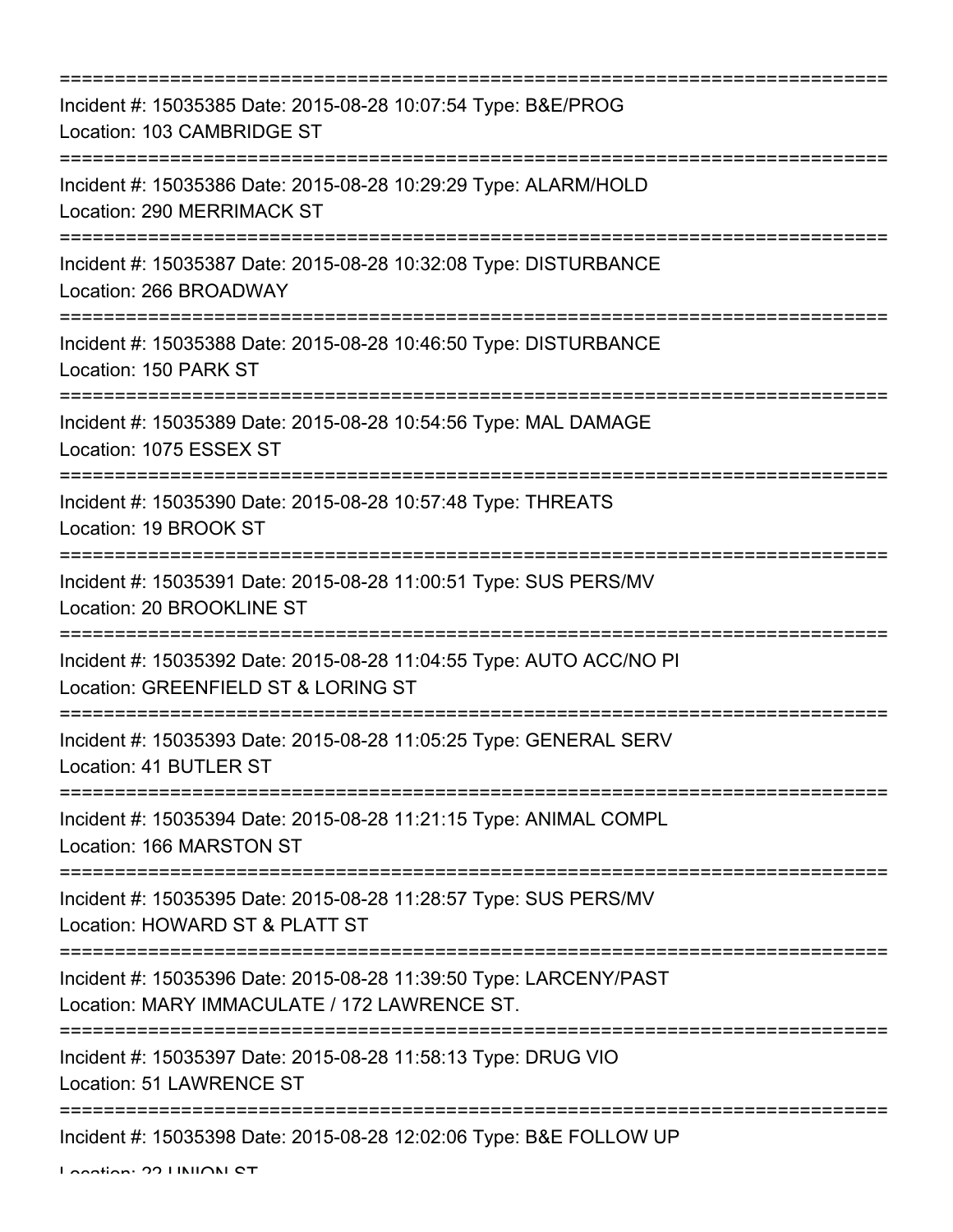| Incident #: 15035385 Date: 2015-08-28 10:07:54 Type: B&E/PROG<br>Location: 103 CAMBRIDGE ST                                                                       |
|-------------------------------------------------------------------------------------------------------------------------------------------------------------------|
| Incident #: 15035386 Date: 2015-08-28 10:29:29 Type: ALARM/HOLD<br>Location: 290 MERRIMACK ST                                                                     |
| Incident #: 15035387 Date: 2015-08-28 10:32:08 Type: DISTURBANCE<br>Location: 266 BROADWAY                                                                        |
| Incident #: 15035388 Date: 2015-08-28 10:46:50 Type: DISTURBANCE<br>Location: 150 PARK ST                                                                         |
| Incident #: 15035389 Date: 2015-08-28 10:54:56 Type: MAL DAMAGE<br>Location: 1075 ESSEX ST                                                                        |
| Incident #: 15035390 Date: 2015-08-28 10:57:48 Type: THREATS<br>Location: 19 BROOK ST                                                                             |
| Incident #: 15035391 Date: 2015-08-28 11:00:51 Type: SUS PERS/MV<br>Location: 20 BROOKLINE ST                                                                     |
| Incident #: 15035392 Date: 2015-08-28 11:04:55 Type: AUTO ACC/NO PI<br>Location: GREENFIELD ST & LORING ST                                                        |
| Incident #: 15035393 Date: 2015-08-28 11:05:25 Type: GENERAL SERV<br>Location: 41 BUTLER ST                                                                       |
| :===================================<br>:=======================<br>Incident #: 15035394 Date: 2015-08-28 11:21:15 Type: ANIMAL COMPL<br>Location: 166 MARSTON ST |
| Incident #: 15035395 Date: 2015-08-28 11:28:57 Type: SUS PERS/MV<br>Location: HOWARD ST & PLATT ST                                                                |
| Incident #: 15035396 Date: 2015-08-28 11:39:50 Type: LARCENY/PAST<br>Location: MARY IMMACULATE / 172 LAWRENCE ST.                                                 |
| Incident #: 15035397 Date: 2015-08-28 11:58:13 Type: DRUG VIO<br>Location: 51 LAWRENCE ST                                                                         |
| Incident #: 15035398 Date: 2015-08-28 12:02:06 Type: B&E FOLLOW UP                                                                                                |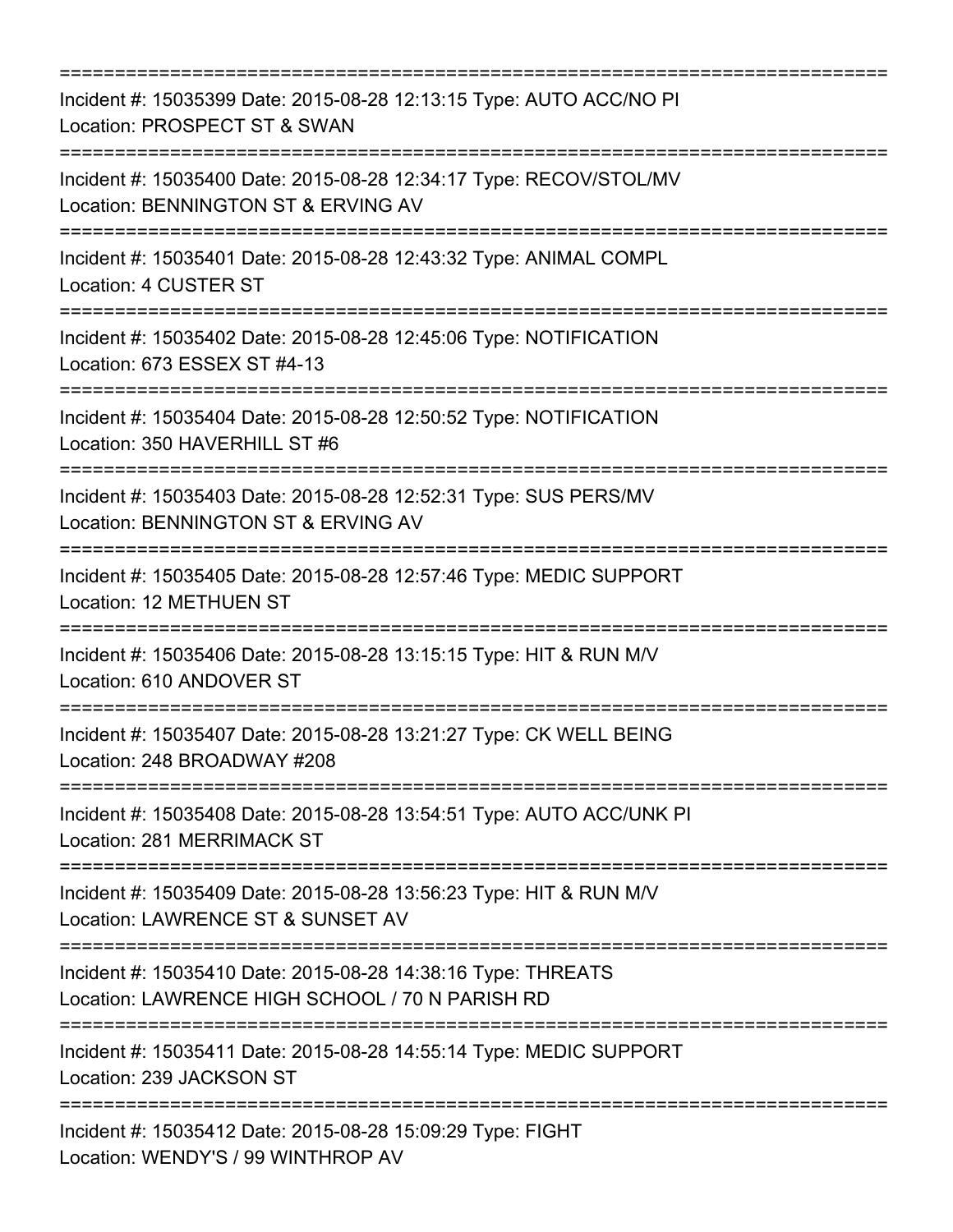| Incident #: 15035399 Date: 2015-08-28 12:13:15 Type: AUTO ACC/NO PI<br>Location: PROSPECT ST & SWAN             |
|-----------------------------------------------------------------------------------------------------------------|
| Incident #: 15035400 Date: 2015-08-28 12:34:17 Type: RECOV/STOL/MV<br>Location: BENNINGTON ST & ERVING AV       |
| Incident #: 15035401 Date: 2015-08-28 12:43:32 Type: ANIMAL COMPL<br>Location: 4 CUSTER ST                      |
| Incident #: 15035402 Date: 2015-08-28 12:45:06 Type: NOTIFICATION<br>Location: 673 ESSEX ST #4-13               |
| Incident #: 15035404 Date: 2015-08-28 12:50:52 Type: NOTIFICATION<br>Location: 350 HAVERHILL ST #6              |
| Incident #: 15035403 Date: 2015-08-28 12:52:31 Type: SUS PERS/MV<br>Location: BENNINGTON ST & ERVING AV         |
| Incident #: 15035405 Date: 2015-08-28 12:57:46 Type: MEDIC SUPPORT<br>Location: 12 METHUEN ST                   |
| Incident #: 15035406 Date: 2015-08-28 13:15:15 Type: HIT & RUN M/V<br>Location: 610 ANDOVER ST                  |
| Incident #: 15035407 Date: 2015-08-28 13:21:27 Type: CK WELL BEING<br>Location: 248 BROADWAY #208               |
| Incident #: 15035408 Date: 2015-08-28 13:54:51 Type: AUTO ACC/UNK PI<br>Location: 281 MERRIMACK ST              |
| Incident #: 15035409 Date: 2015-08-28 13:56:23 Type: HIT & RUN M/V<br>Location: LAWRENCE ST & SUNSET AV         |
| Incident #: 15035410 Date: 2015-08-28 14:38:16 Type: THREATS<br>Location: LAWRENCE HIGH SCHOOL / 70 N PARISH RD |
| Incident #: 15035411 Date: 2015-08-28 14:55:14 Type: MEDIC SUPPORT<br>Location: 239 JACKSON ST                  |
| Incident #: 15035412 Date: 2015-08-28 15:09:29 Type: FIGHT<br>Location: WENDY'S / 99 WINTHROP AV                |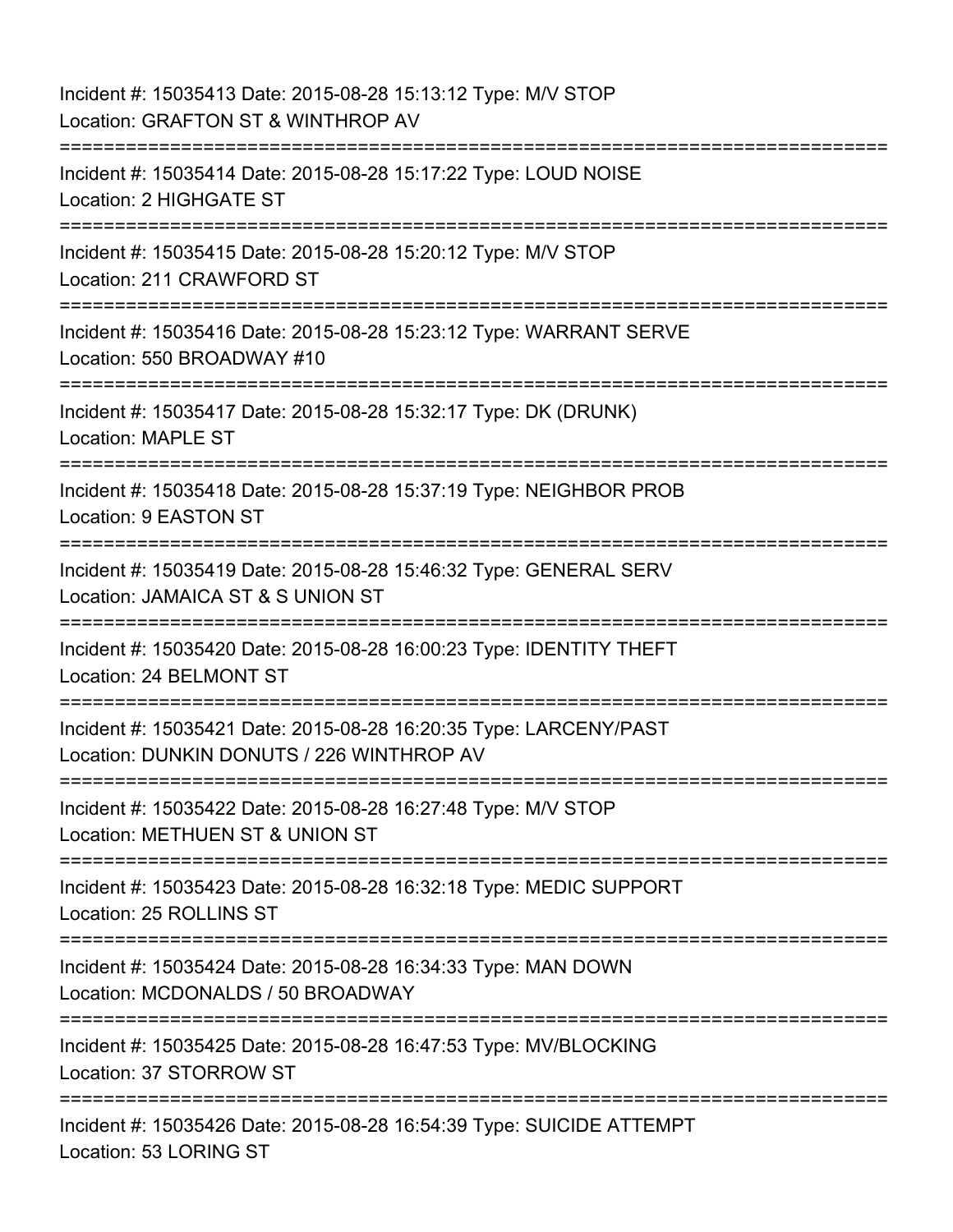Incident #: 15035413 Date: 2015-08-28 15:13:12 Type: M/V STOP Location: GRAFTON ST & WINTHROP AV =========================================================================== Incident #: 15035414 Date: 2015-08-28 15:17:22 Type: LOUD NOISE Location: 2 HIGHGATE ST =========================================================================== Incident #: 15035415 Date: 2015-08-28 15:20:12 Type: M/V STOP Location: 211 CRAWFORD ST =========================================================================== Incident #: 15035416 Date: 2015-08-28 15:23:12 Type: WARRANT SERVE Location: 550 BROADWAY #10 =========================================================================== Incident #: 15035417 Date: 2015-08-28 15:32:17 Type: DK (DRUNK) Location: MAPLE ST =========================================================================== Incident #: 15035418 Date: 2015-08-28 15:37:19 Type: NEIGHBOR PROB Location: 9 EASTON ST =========================================================================== Incident #: 15035419 Date: 2015-08-28 15:46:32 Type: GENERAL SERV Location: JAMAICA ST & S UNION ST =========================================================================== Incident #: 15035420 Date: 2015-08-28 16:00:23 Type: IDENTITY THEFT Location: 24 BELMONT ST =========================================================================== Incident #: 15035421 Date: 2015-08-28 16:20:35 Type: LARCENY/PAST Location: DUNKIN DONUTS / 226 WINTHROP AV =========================================================================== Incident #: 15035422 Date: 2015-08-28 16:27:48 Type: M/V STOP Location: METHUEN ST & UNION ST =========================================================================== Incident #: 15035423 Date: 2015-08-28 16:32:18 Type: MEDIC SUPPORT Location: 25 ROLLINS ST =========================================================================== Incident #: 15035424 Date: 2015-08-28 16:34:33 Type: MAN DOWN Location: MCDONALDS / 50 BROADWAY =========================================================================== Incident #: 15035425 Date: 2015-08-28 16:47:53 Type: MV/BLOCKING Location: 37 STORROW ST ========================= Incident #: 15035426 Date: 2015-08-28 16:54:39 Type: SUICIDE ATTEMPT Location: 53 LORING ST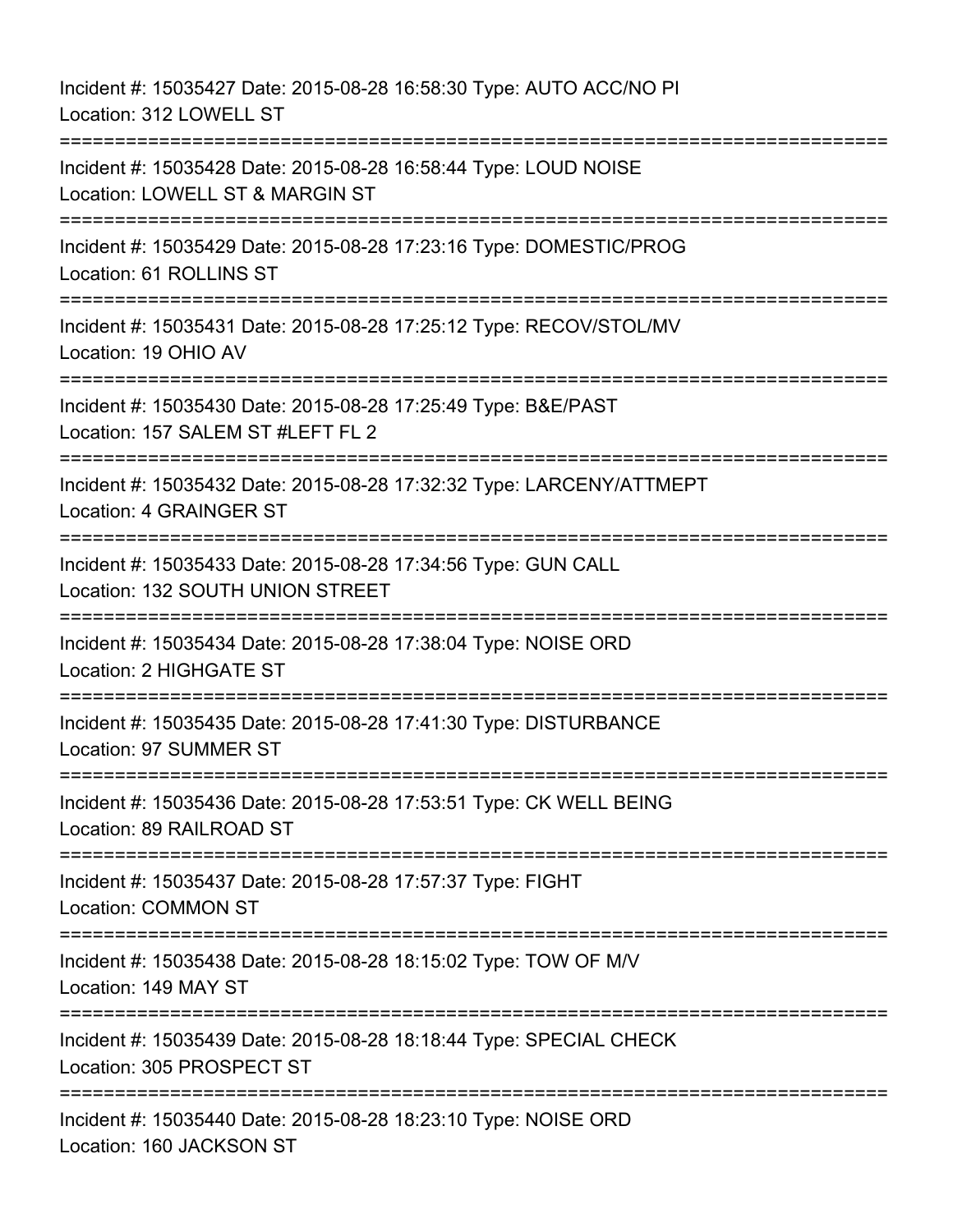Incident #: 15035427 Date: 2015-08-28 16:58:30 Type: AUTO ACC/NO PI Location: 312 LOWELL ST =========================================================================== Incident #: 15035428 Date: 2015-08-28 16:58:44 Type: LOUD NOISE Location: LOWELL ST & MARGIN ST =========================================================================== Incident #: 15035429 Date: 2015-08-28 17:23:16 Type: DOMESTIC/PROG Location: 61 ROLLINS ST =========================================================================== Incident #: 15035431 Date: 2015-08-28 17:25:12 Type: RECOV/STOL/MV Location: 19 OHIO AV =========================================================================== Incident #: 15035430 Date: 2015-08-28 17:25:49 Type: B&E/PAST Location: 157 SALEM ST #LEFT FL 2 =========================================================================== Incident #: 15035432 Date: 2015-08-28 17:32:32 Type: LARCENY/ATTMEPT Location: 4 GRAINGER ST =========================================================================== Incident #: 15035433 Date: 2015-08-28 17:34:56 Type: GUN CALL Location: 132 SOUTH UNION STREET =========================================================================== Incident #: 15035434 Date: 2015-08-28 17:38:04 Type: NOISE ORD Location: 2 HIGHGATE ST =========================================================================== Incident #: 15035435 Date: 2015-08-28 17:41:30 Type: DISTURBANCE Location: 97 SUMMER ST =========================================================================== Incident #: 15035436 Date: 2015-08-28 17:53:51 Type: CK WELL BEING Location: 89 RAILROAD ST =========================================================================== Incident #: 15035437 Date: 2015-08-28 17:57:37 Type: FIGHT Location: COMMON ST =========================================================================== Incident #: 15035438 Date: 2015-08-28 18:15:02 Type: TOW OF M/V Location: 149 MAY ST =========================================================================== Incident #: 15035439 Date: 2015-08-28 18:18:44 Type: SPECIAL CHECK Location: 305 PROSPECT ST =========================================================================== Incident #: 15035440 Date: 2015-08-28 18:23:10 Type: NOISE ORD Location: 160 JACKSON ST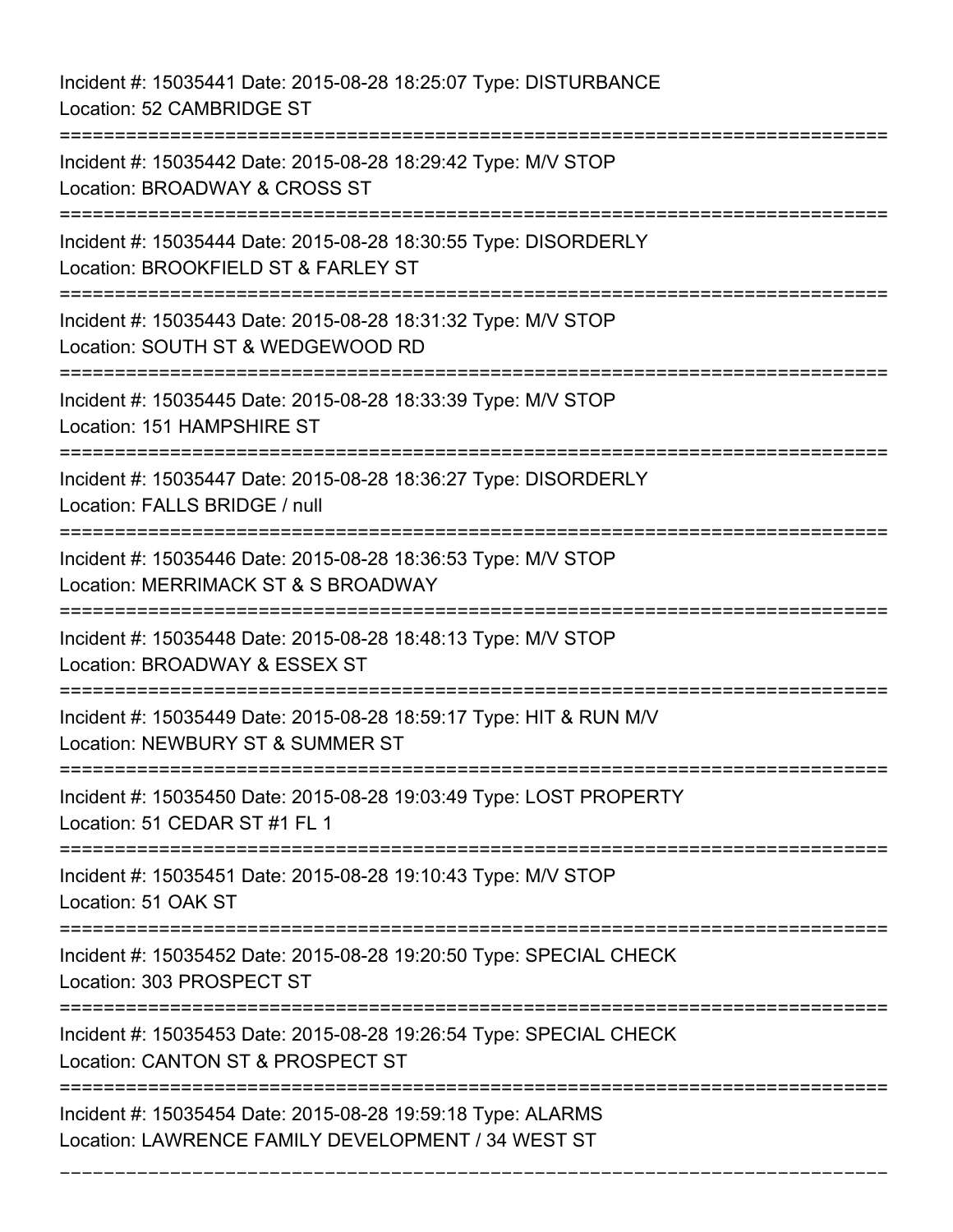Incident #: 15035441 Date: 2015-08-28 18:25:07 Type: DISTURBANCE Location: 52 CAMBRIDGE ST =========================================================================== Incident #: 15035442 Date: 2015-08-28 18:29:42 Type: M/V STOP Location: BROADWAY & CROSS ST =========================================================================== Incident #: 15035444 Date: 2015-08-28 18:30:55 Type: DISORDERLY Location: BROOKFIELD ST & FARLEY ST =========================================================================== Incident #: 15035443 Date: 2015-08-28 18:31:32 Type: M/V STOP Location: SOUTH ST & WEDGEWOOD RD =========================================================================== Incident #: 15035445 Date: 2015-08-28 18:33:39 Type: M/V STOP Location: 151 HAMPSHIRE ST =========================================================================== Incident #: 15035447 Date: 2015-08-28 18:36:27 Type: DISORDERLY Location: FALLS BRIDGE / null =========================================================================== Incident #: 15035446 Date: 2015-08-28 18:36:53 Type: M/V STOP Location: MERRIMACK ST & S BROADWAY =========================================================================== Incident #: 15035448 Date: 2015-08-28 18:48:13 Type: M/V STOP Location: BROADWAY & ESSEX ST =========================================================================== Incident #: 15035449 Date: 2015-08-28 18:59:17 Type: HIT & RUN M/V Location: NEWBURY ST & SUMMER ST =========================================================================== Incident #: 15035450 Date: 2015-08-28 19:03:49 Type: LOST PROPERTY Location: 51 CEDAR ST #1 FL 1 =========================================================================== Incident #: 15035451 Date: 2015-08-28 19:10:43 Type: M/V STOP Location: 51 OAK ST =========================================================================== Incident #: 15035452 Date: 2015-08-28 19:20:50 Type: SPECIAL CHECK Location: 303 PROSPECT ST =========================================================================== Incident #: 15035453 Date: 2015-08-28 19:26:54 Type: SPECIAL CHECK Location: CANTON ST & PROSPECT ST =========================================================================== Incident #: 15035454 Date: 2015-08-28 19:59:18 Type: ALARMS Location: LAWRENCE FAMILY DEVELOPMENT / 34 WEST ST

===========================================================================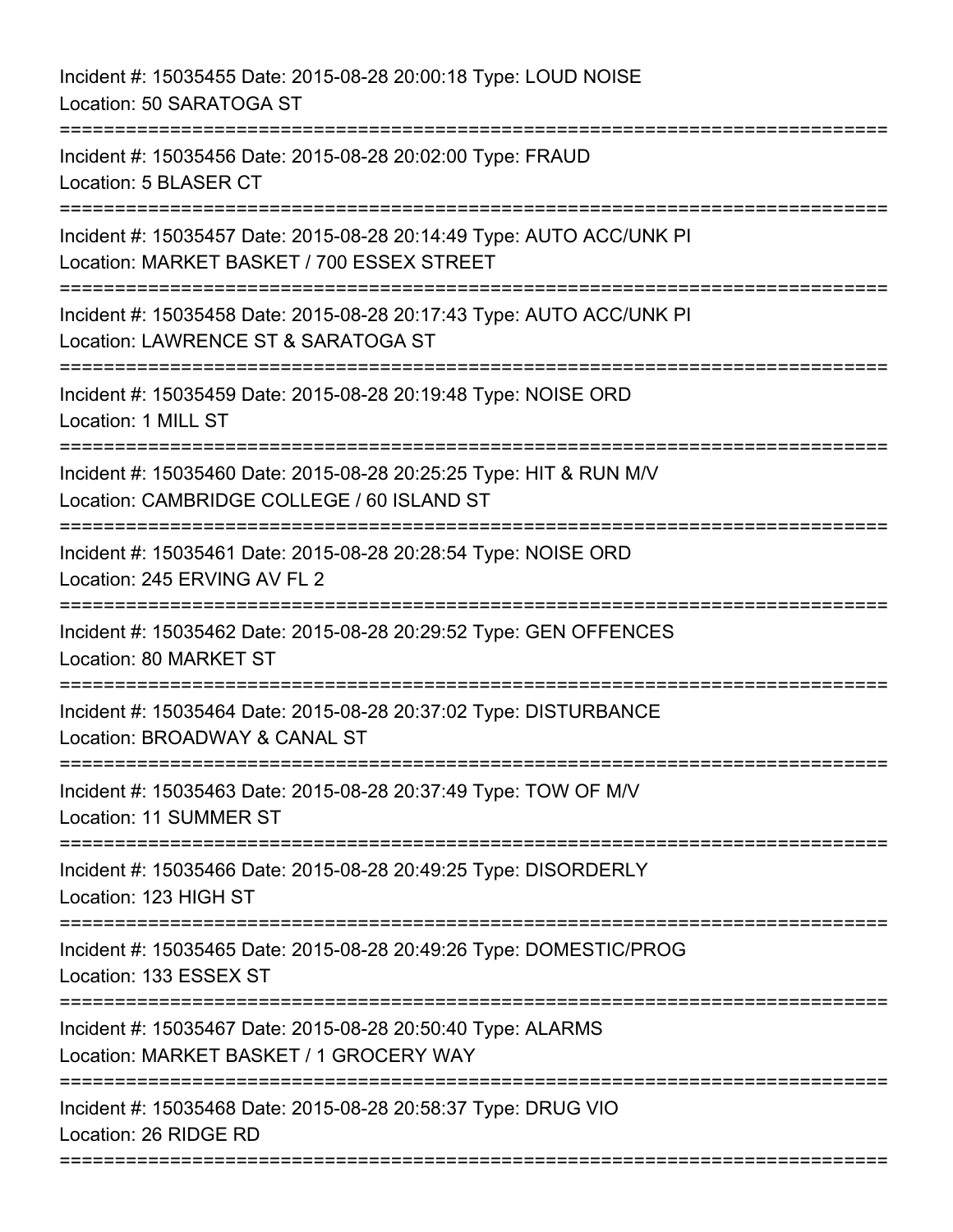Incident #: 15035455 Date: 2015-08-28 20:00:18 Type: LOUD NOISE Location: 50 SARATOGA ST =========================================================================== Incident #: 15035456 Date: 2015-08-28 20:02:00 Type: FRAUD Location: 5 BLASER CT =========================================================================== Incident #: 15035457 Date: 2015-08-28 20:14:49 Type: AUTO ACC/UNK PI Location: MARKET BASKET / 700 ESSEX STREET =========================================================================== Incident #: 15035458 Date: 2015-08-28 20:17:43 Type: AUTO ACC/UNK PI Location: LAWRENCE ST & SARATOGA ST =========================================================================== Incident #: 15035459 Date: 2015-08-28 20:19:48 Type: NOISE ORD Location: 1 MILL ST =========================================================================== Incident #: 15035460 Date: 2015-08-28 20:25:25 Type: HIT & RUN M/V Location: CAMBRIDGE COLLEGE / 60 ISLAND ST =========================================================================== Incident #: 15035461 Date: 2015-08-28 20:28:54 Type: NOISE ORD Location: 245 ERVING AV FL 2 =========================================================================== Incident #: 15035462 Date: 2015-08-28 20:29:52 Type: GEN OFFENCES Location: 80 MARKET ST =========================================================================== Incident #: 15035464 Date: 2015-08-28 20:37:02 Type: DISTURBANCE Location: BROADWAY & CANAL ST ======================== Incident #: 15035463 Date: 2015-08-28 20:37:49 Type: TOW OF M/V Location: 11 SUMMER ST =========================================================================== Incident #: 15035466 Date: 2015-08-28 20:49:25 Type: DISORDERLY Location: 123 HIGH ST =========================================================================== Incident #: 15035465 Date: 2015-08-28 20:49:26 Type: DOMESTIC/PROG Location: 133 ESSEX ST ========================= Incident #: 15035467 Date: 2015-08-28 20:50:40 Type: ALARMS Location: MARKET BASKET / 1 GROCERY WAY =========================================================================== Incident #: 15035468 Date: 2015-08-28 20:58:37 Type: DRUG VIO Location: 26 RIDGE RD ===========================================================================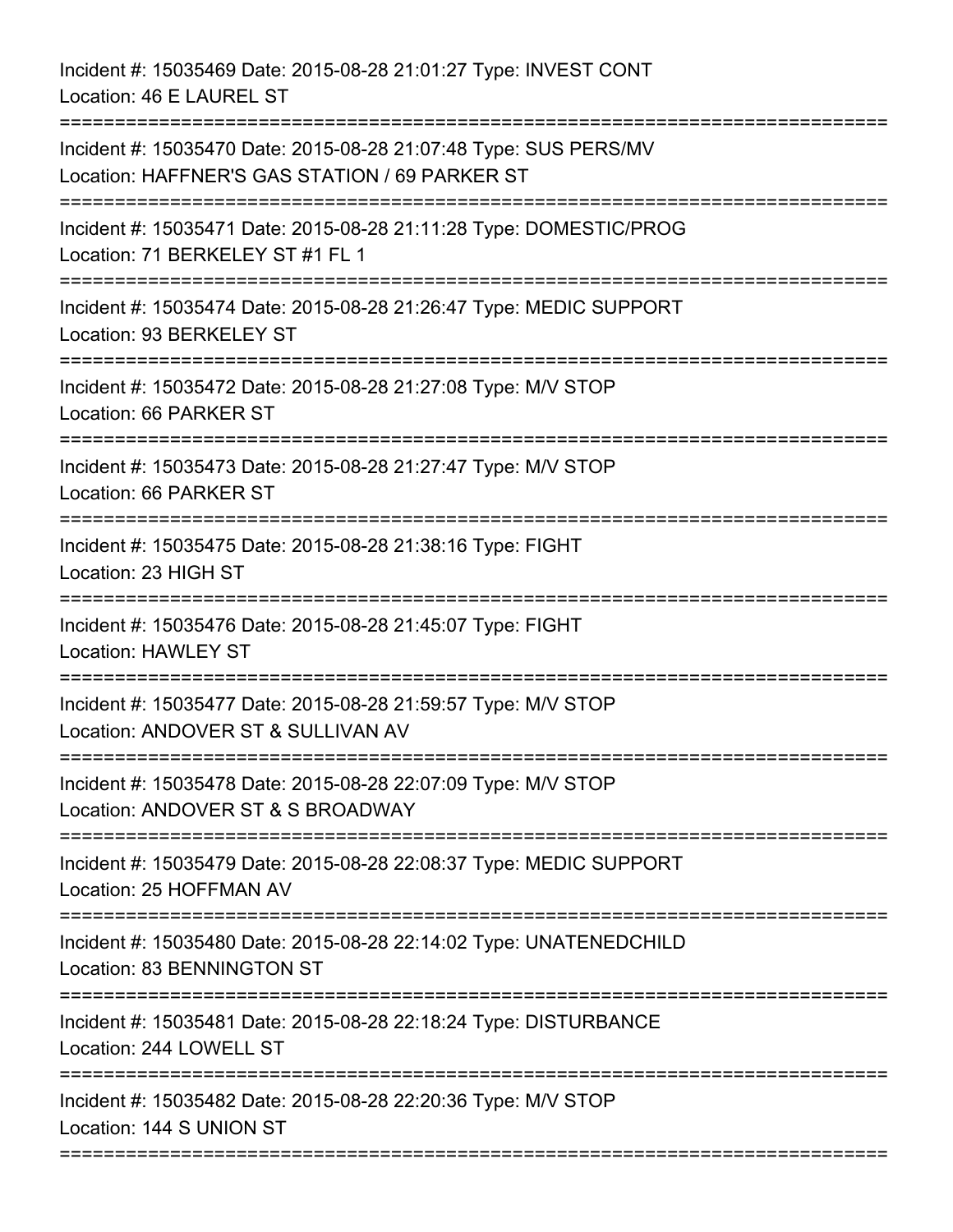Incident #: 15035469 Date: 2015-08-28 21:01:27 Type: INVEST CONT Location: 46 E LAUREL ST =========================================================================== Incident #: 15035470 Date: 2015-08-28 21:07:48 Type: SUS PERS/MV Location: HAFFNER'S GAS STATION / 69 PARKER ST =========================================================================== Incident #: 15035471 Date: 2015-08-28 21:11:28 Type: DOMESTIC/PROG Location: 71 BERKELEY ST #1 FL 1 =========================================================================== Incident #: 15035474 Date: 2015-08-28 21:26:47 Type: MEDIC SUPPORT Location: 93 BERKELEY ST =========================================================================== Incident #: 15035472 Date: 2015-08-28 21:27:08 Type: M/V STOP Location: 66 PARKER ST =========================================================================== Incident #: 15035473 Date: 2015-08-28 21:27:47 Type: M/V STOP Location: 66 PARKER ST =========================================================================== Incident #: 15035475 Date: 2015-08-28 21:38:16 Type: FIGHT Location: 23 HIGH ST =========================================================================== Incident #: 15035476 Date: 2015-08-28 21:45:07 Type: FIGHT Location: HAWLEY ST =========================================================================== Incident #: 15035477 Date: 2015-08-28 21:59:57 Type: M/V STOP Location: ANDOVER ST & SULLIVAN AV =========================================================================== Incident #: 15035478 Date: 2015-08-28 22:07:09 Type: M/V STOP Location: ANDOVER ST & S BROADWAY =========================================================================== Incident #: 15035479 Date: 2015-08-28 22:08:37 Type: MEDIC SUPPORT Location: 25 HOFFMAN AV =========================================================================== Incident #: 15035480 Date: 2015-08-28 22:14:02 Type: UNATENEDCHILD Location: 83 BENNINGTON ST =========================================================================== Incident #: 15035481 Date: 2015-08-28 22:18:24 Type: DISTURBANCE Location: 244 LOWELL ST =========================================================================== Incident #: 15035482 Date: 2015-08-28 22:20:36 Type: M/V STOP Location: 144 S UNION ST ===========================================================================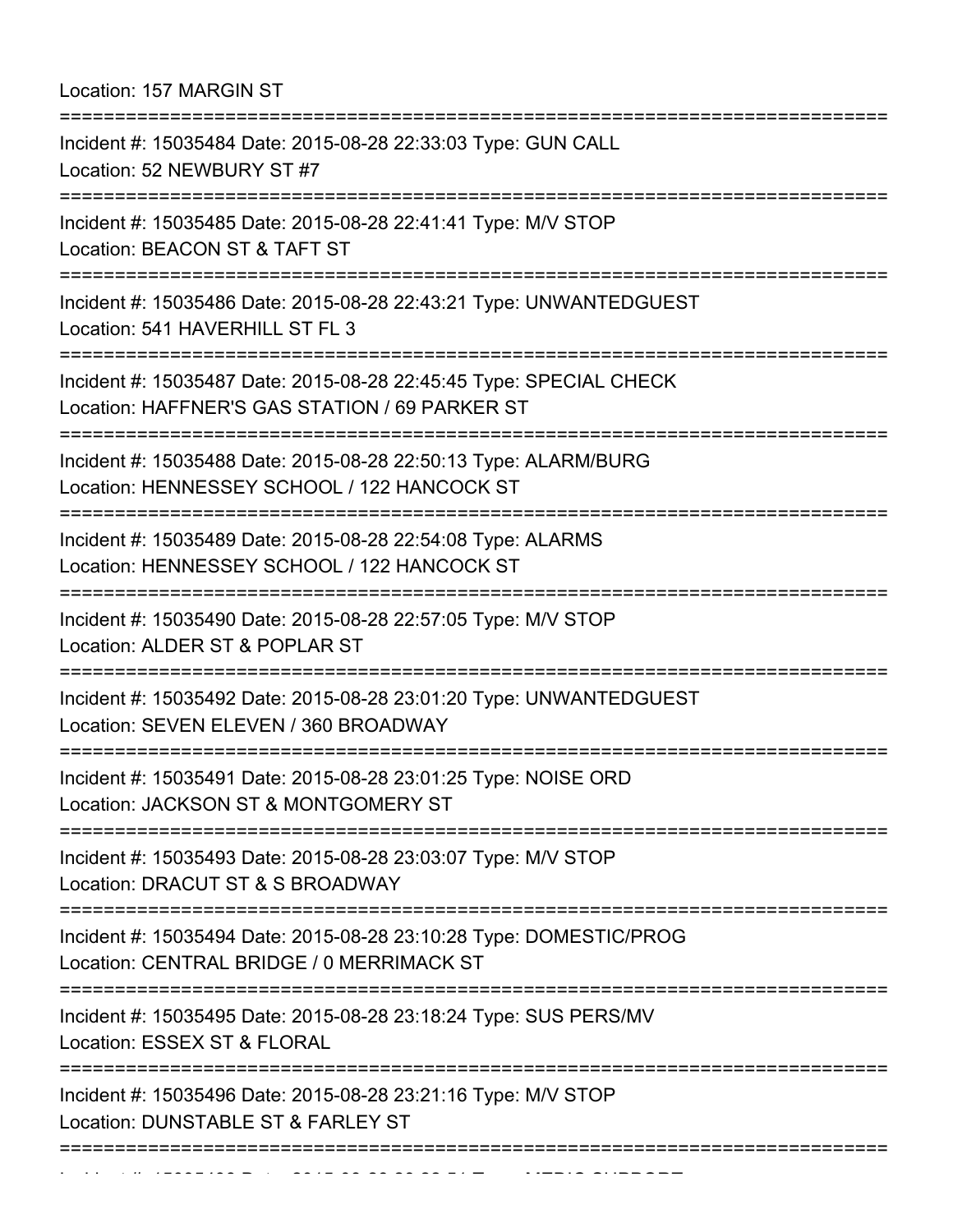Location: 157 MARGIN ST

| =======================<br>Incident #: 15035484 Date: 2015-08-28 22:33:03 Type: GUN CALL<br>Location: 52 NEWBURY ST #7               |
|--------------------------------------------------------------------------------------------------------------------------------------|
| Incident #: 15035485 Date: 2015-08-28 22:41:41 Type: M/V STOP<br>Location: BEACON ST & TAFT ST<br>.-----------------------           |
| Incident #: 15035486 Date: 2015-08-28 22:43:21 Type: UNWANTEDGUEST<br>Location: 541 HAVERHILL ST FL 3<br>==============              |
| Incident #: 15035487 Date: 2015-08-28 22:45:45 Type: SPECIAL CHECK<br>Location: HAFFNER'S GAS STATION / 69 PARKER ST                 |
| Incident #: 15035488 Date: 2015-08-28 22:50:13 Type: ALARM/BURG<br>Location: HENNESSEY SCHOOL / 122 HANCOCK ST                       |
| Incident #: 15035489 Date: 2015-08-28 22:54:08 Type: ALARMS<br>Location: HENNESSEY SCHOOL / 122 HANCOCK ST<br>====================== |
| Incident #: 15035490 Date: 2015-08-28 22:57:05 Type: M/V STOP<br>Location: ALDER ST & POPLAR ST                                      |
| Incident #: 15035492 Date: 2015-08-28 23:01:20 Type: UNWANTEDGUEST<br>Location: SEVEN ELEVEN / 360 BROADWAY                          |
| Incident #: 15035491 Date: 2015-08-28 23:01:25 Type: NOISE ORD<br>Location: JACKSON ST & MONTGOMERY ST                               |
| Incident #: 15035493 Date: 2015-08-28 23:03:07 Type: M/V STOP<br>Location: DRACUT ST & S BROADWAY                                    |
| Incident #: 15035494 Date: 2015-08-28 23:10:28 Type: DOMESTIC/PROG<br>Location: CENTRAL BRIDGE / 0 MERRIMACK ST                      |
| Incident #: 15035495 Date: 2015-08-28 23:18:24 Type: SUS PERS/MV<br>Location: ESSEX ST & FLORAL                                      |
| Incident #: 15035496 Date: 2015-08-28 23:21:16 Type: M/V STOP<br>Location: DUNSTABLE ST & FARLEY ST                                  |
|                                                                                                                                      |